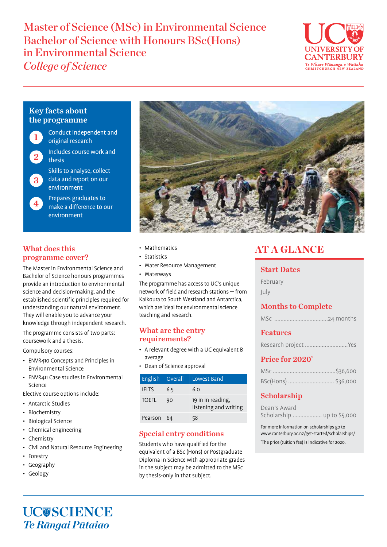Master of Science (MSc) in Environmental Science Bachelor of Science with Honours BSc(Hons) in Environmental Science *College of Science*



### Key facts about the programme

2

1

- Conduct independent and original research
	- Includes course work and thesis
- Skills to analyse, collect data and report on our environment 3
- Prepares graduates to make a difference to our environment  $4^{\circ}$

#### What does this programme cover?

The Master in Environmental Science and Bachelor of Science honours programmes provide an introduction to environmental science and decision-making, and the established scientific principles required for understanding our natural environment. They will enable you to advance your knowledge through independent research.

The programme consists of two parts: coursework and a thesis.

Compulsory courses:

- ENVR410 Concepts and Principles in Environmental Science
- ENVR411 Case studies in Environmental Science

Elective course options include:

- Antarctic Studies
- Biochemistry
- Biological Science
- Chemical engineering
- Chemistry
- Civil and Natural Resource Engineering
- Forestry
- Geography
- Geology



- Mathematics
- Statistics
- Water Resource Management
- Waterways

The programme has access to UC's unique network of field and research stations — from Kaikoura to South Westland and Antarctica, which are ideal for environmental science teaching and research.

#### What are the entry requirements?

- A relevant degree with a UC equivalent B average
- Dean of Science approval

| English      | Overall | Lowest Band                                |
|--------------|---------|--------------------------------------------|
| <b>IELTS</b> | 6.5     | 6.0                                        |
| <b>TOFFI</b> | 90      | 19 in in reading,<br>listening and writing |
| Pearson      | 64      | 58                                         |

#### Special entry conditions

Students who have qualified for the equivalent of a BSc (Hons) or Postgraduate Diploma in Science with appropriate grades in the subject may be admitted to the MSc by thesis-only in that subject.

# AT A GLANCE

#### Start Dates

February July

# Months to Complete

|--|--|--|

#### Features

|  | Research project Yes |  |
|--|----------------------|--|
|  |                      |  |

#### Price for 2020\*

| BSc(Hons)  \$36,000 |  |
|---------------------|--|

# Scholarship

| Dean's Award |                            |  |  |
|--------------|----------------------------|--|--|
|              | Scholarship  up to \$5,000 |  |  |

For more information on scholarships go to www.canterbury.ac.nz/get-started/scholarships/ \* The price (tuition fee) is indicative for 2020.

# **UC@SCIENCE** *Te Rāngai Pūtaiao*